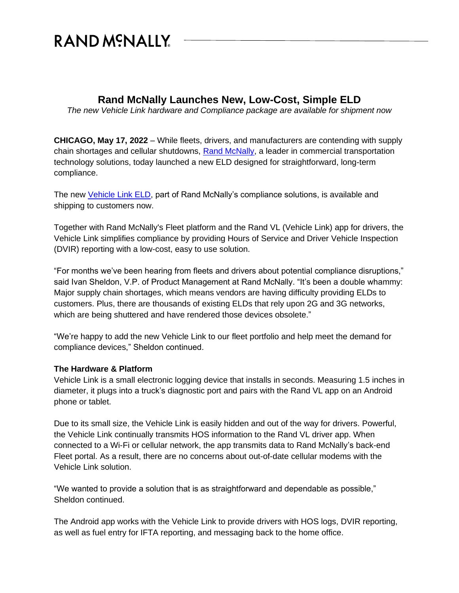## RAND MCNALLY

## **Rand McNally Launches New, Low-Cost, Simple ELD**

*The new Vehicle Link hardware and Compliance package are available for shipment now*

**CHICAGO, May 17, 2022** – While fleets, drivers, and manufacturers are contending with supply chain shortages and cellular shutdowns, [Rand McNally,](https://www.randmcnally.com/) a leader in commercial transportation technology solutions, today launched a new ELD designed for straightforward, long-term compliance.

The new [Vehicle Link ELD,](https://fleet.randmcnally.com/solutions/eld-compliance-vehicle-link) part of Rand McNally's compliance solutions, is available and shipping to customers now.

Together with Rand McNally's Fleet platform and the Rand VL (Vehicle Link) app for drivers, the Vehicle Link simplifies compliance by providing Hours of Service and Driver Vehicle Inspection (DVIR) reporting with a low-cost, easy to use solution.

"For months we've been hearing from fleets and drivers about potential compliance disruptions," said Ivan Sheldon, V.P. of Product Management at Rand McNally. "It's been a double whammy: Major supply chain shortages, which means vendors are having difficulty providing ELDs to customers. Plus, there are thousands of existing ELDs that rely upon 2G and 3G networks, which are being shuttered and have rendered those devices obsolete."

"We're happy to add the new Vehicle Link to our fleet portfolio and help meet the demand for compliance devices," Sheldon continued.

## **The Hardware & Platform**

Vehicle Link is a small electronic logging device that installs in seconds. Measuring 1.5 inches in diameter, it plugs into a truck's diagnostic port and pairs with the Rand VL app on an Android phone or tablet.

Due to its small size, the Vehicle Link is easily hidden and out of the way for drivers. Powerful, the Vehicle Link continually transmits HOS information to the Rand VL driver app. When connected to a Wi-Fi or cellular network, the app transmits data to Rand McNally's back-end Fleet portal. As a result, there are no concerns about out-of-date cellular modems with the Vehicle Link solution.

"We wanted to provide a solution that is as straightforward and dependable as possible," Sheldon continued.

The Android app works with the Vehicle Link to provide drivers with HOS logs, DVIR reporting, as well as fuel entry for IFTA reporting, and messaging back to the home office.